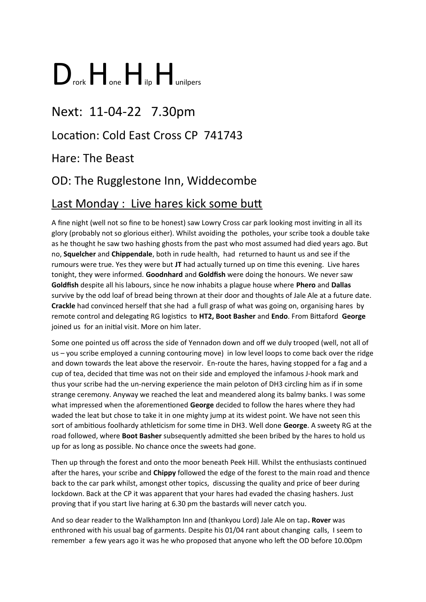# $\sum$ <sub>rork</sub>  $\prod$ <sub>one</sub>  $\prod$ <sub>ilp</sub>  $\prod$ <sub>unilpers</sub>

# Next: 11-04-22 7.30pm

# Location: Cold East Cross CP 741743

#### Hare: The Beast

# OD: The Rugglestone Inn, Widdecombe

# Last Monday : Live hares kick some butt

A fine night (well not so fine to be honest) saw Lowry Cross car park looking most inviting in all its glory (probably not so glorious either). Whilst avoiding the potholes, your scribe took a double take as he thought he saw two hashing ghosts from the past who most assumed had died years ago. But no, **Squelcher** and **Chippendale**, both in rude health, had returned to haunt us and see if the rumours were true. Yes they were but **JT** had actually turned up on time this evening. Live hares tonight, they were informed. **Goodnhard** and **Goldfish** were doing the honours. We never saw **Goldfish** despite all his labours, since he now inhabits a plague house where **Phero** and **Dallas** survive by the odd loaf of bread being thrown at their door and thoughts of Jale Ale at a future date. **Crackle** had convinced herself that she had a full grasp of what was going on, organising hares by remote control and delegating RG logistics to **HT2, Boot Basher** and **Endo**. From Bittaford **George**  joined us for an initial visit. More on him later.

Some one pointed us off across the side of Yennadon down and off we duly trooped (well, not all of us – you scribe employed a cunning contouring move) in low level loops to come back over the ridge and down towards the leat above the reservoir. En-route the hares, having stopped for a fag and a cup of tea, decided that time was not on their side and employed the infamous J-hook mark and thus your scribe had the un-nerving experience the main peloton of DH3 circling him as if in some strange ceremony. Anyway we reached the leat and meandered along its balmy banks. I was some what impressed when the aforementioned **George** decided to follow the hares where they had waded the leat but chose to take it in one mighty jump at its widest point. We have not seen this sort of ambitious foolhardy athleticism for some time in DH3. Well done **George**. A sweety RG at the road followed, where **Boot Basher** subsequently admitted she been bribed by the hares to hold us up for as long as possible. No chance once the sweets had gone.

Then up through the forest and onto the moor beneath Peek Hill. Whilst the enthusiasts continued after the hares, your scribe and **Chippy** followed the edge of the forest to the main road and thence back to the car park whilst, amongst other topics, discussing the quality and price of beer during lockdown. Back at the CP it was apparent that your hares had evaded the chasing hashers. Just proving that if you start live haring at 6.30 pm the bastards will never catch you.

And so dear reader to the Walkhampton Inn and (thankyou Lord) Jale Ale on tap**. Rover** was enthroned with his usual bag of garments. Despite his 01/04 rant about changing calls, I seem to remember a few years ago it was he who proposed that anyone who left the OD before 10.00pm